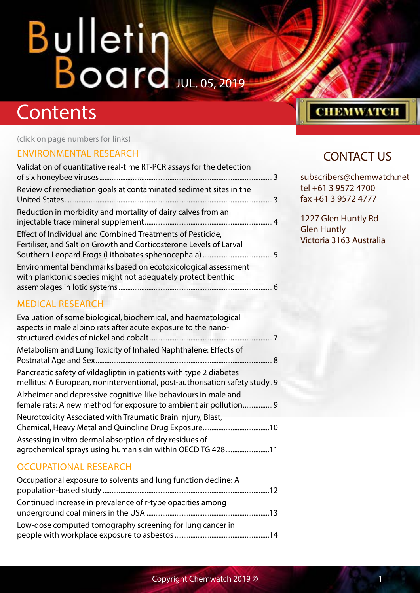## **Contents**

(click on page numbers for links)

### [ENVIRONMENTAL RESEARCH](#page-2-0)

| Validation of quantitative real-time RT-PCR assays for the detection                                                             |  |
|----------------------------------------------------------------------------------------------------------------------------------|--|
| Review of remediation goals at contaminated sediment sites in the                                                                |  |
| Reduction in morbidity and mortality of dairy calves from an                                                                     |  |
| Effect of Individual and Combined Treatments of Pesticide,<br>Fertiliser, and Salt on Growth and Corticosterone Levels of Larval |  |
| Environmental benchmarks based on ecotoxicological assessment<br>with planktonic species might not adequately protect benthic    |  |

[assemblages in lotic systems........................................................................................6](#page-5-0)

## CONTACT US

**СНЕМWATCH** 

subscribers@chemwatch.net tel +61 3 9572 4700 fax +61 3 9572 4777

1227 Glen Huntly Rd Glen Huntly Victoria 3163 Australia

### [MEDICAL RESEARCH](#page-6-0)

| Evaluation of some biological, biochemical, and haematological<br>aspects in male albino rats after acute exposure to the nano-                  |
|--------------------------------------------------------------------------------------------------------------------------------------------------|
| Metabolism and Lung Toxicity of Inhaled Naphthalene: Effects of                                                                                  |
| Pancreatic safety of vildagliptin in patients with type 2 diabetes<br>mellitus: A European, noninterventional, post-authorisation safety study.9 |
| Alzheimer and depressive cognitive-like behaviours in male and<br>female rats: A new method for exposure to ambient air pollution 9              |
| Neurotoxicity Associated with Traumatic Brain Injury, Blast,                                                                                     |
| Assessing in vitro dermal absorption of dry residues of<br>agrochemical sprays using human skin within OECD TG 42811                             |

### [OCCUPATIONAL RESEARCH](#page-11-0)

| Occupational exposure to solvents and lung function decline: A |  |
|----------------------------------------------------------------|--|
| Continued increase in prevalence of r-type opacities among     |  |
| Low-dose computed tomography screening for lung cancer in      |  |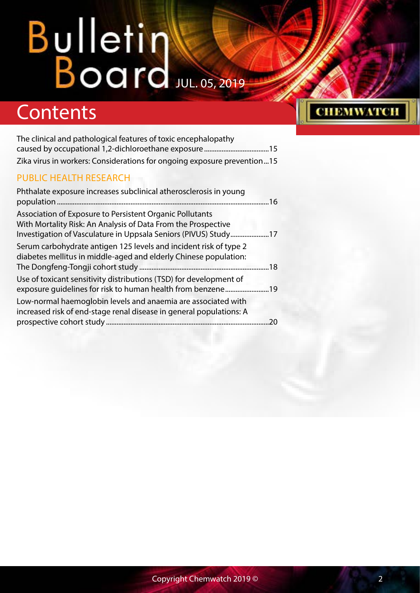## **Contents**

| The clinical and pathological features of toxic encephalopathy          |  |
|-------------------------------------------------------------------------|--|
|                                                                         |  |
| Zika virus in workers: Considerations for ongoing exposure prevention15 |  |

### [PUBLIC HEALTH RESEARCH](#page-15-0)

| Phthalate exposure increases subclinical atherosclerosis in young                                                                                                                            |  |
|----------------------------------------------------------------------------------------------------------------------------------------------------------------------------------------------|--|
| Association of Exposure to Persistent Organic Pollutants<br>With Mortality Risk: An Analysis of Data From the Prospective<br>Investigation of Vasculature in Uppsala Seniors (PIVUS) Study17 |  |
| Serum carbohydrate antigen 125 levels and incident risk of type 2<br>diabetes mellitus in middle-aged and elderly Chinese population:                                                        |  |
| Use of toxicant sensitivity distributions (TSD) for development of                                                                                                                           |  |
| Low-normal haemoglobin levels and anaemia are associated with<br>increased risk of end-stage renal disease in general populations: A                                                         |  |

**СНЕМWATCH**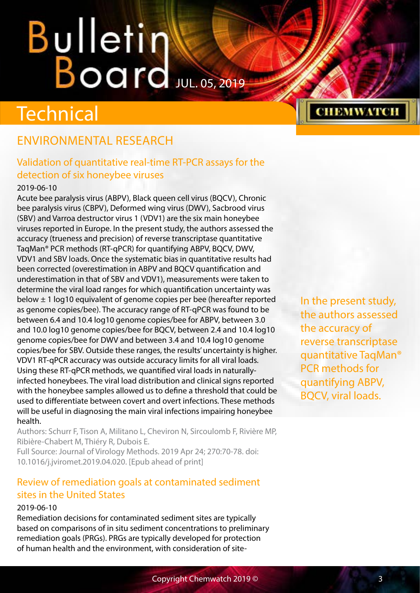## <span id="page-2-0"></span>**Technical**

## ENVIRONMENTAL RESEARCH

## Validation of quantitative real-time RT-PCR assays for the detection of six honeybee viruses

#### 2019-06-10

Acute bee paralysis virus (ABPV), Black queen cell virus (BQCV), Chronic bee paralysis virus (CBPV), Deformed wing virus (DWV), Sacbrood virus (SBV) and Varroa destructor virus 1 (VDV1) are the six main honeybee viruses reported in Europe. In the present study, the authors assessed the accuracy (trueness and precision) of reverse transcriptase quantitative TaqMan® PCR methods (RT-qPCR) for quantifying ABPV, BQCV, DWV, VDV1 and SBV loads. Once the systematic bias in quantitative results had been corrected (overestimation in ABPV and BQCV quantification and underestimation in that of SBV and VDV1), measurements were taken to determine the viral load ranges for which quantification uncertainty was below ± 1 log10 equivalent of genome copies per bee (hereafter reported as genome copies/bee). The accuracy range of RT-qPCR was found to be between 6.4 and 10.4 log10 genome copies/bee for ABPV, between 3.0 and 10.0 log10 genome copies/bee for BQCV, between 2.4 and 10.4 log10 genome copies/bee for DWV and between 3.4 and 10.4 log10 genome copies/bee for SBV. Outside these ranges, the results' uncertainty is higher. VDV1 RT-qPCR accuracy was outside accuracy limits for all viral loads. Using these RT-qPCR methods, we quantified viral loads in naturallyinfected honeybees. The viral load distribution and clinical signs reported with the honeybee samples allowed us to define a threshold that could be used to differentiate between covert and overt infections. These methods will be useful in diagnosing the main viral infections impairing honeybee health.

Authors: Schurr F, Tison A, Militano L, Cheviron N, Sircoulomb F, Rivière MP, Ribière-Chabert M, Thiéry R, Dubois E.

Full Source: Journal of Virology Methods. 2019 Apr 24; 270:70-78. doi: 10.1016/j.jviromet.2019.04.020. [Epub ahead of print]

### Review of remediation goals at contaminated sediment sites in the United States

#### 2019-06-10

Remediation decisions for contaminated sediment sites are typically based on comparisons of in situ sediment concentrations to preliminary remediation goals (PRGs). PRGs are typically developed for protection of human health and the environment, with consideration of siteIn the present study, the authors assessed the accuracy of reverse transcriptase quantitative TaqMan® PCR methods for quantifying ABPV, BQCV, viral loads.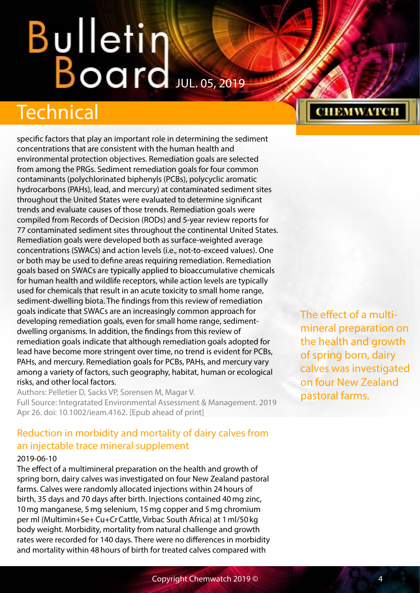## <span id="page-3-0"></span>Technical

specific factors that play an important role in determining the sediment concentrations that are consistent with the human health and environmental protection objectives. Remediation goals are selected from among the PRGs. Sediment remediation goals for four common contaminants (polychlorinated biphenyls (PCBs), polycyclic aromatic hydrocarbons (PAHs), lead, and mercury) at contaminated sediment sites throughout the United States were evaluated to determine significant trends and evaluate causes of those trends. Remediation goals were compiled from Records of Decision (RODs) and 5-year review reports for 77 contaminated sediment sites throughout the continental United States. Remediation goals were developed both as surface-weighted average concentrations (SWACs) and action levels (i.e., not-to-exceed values). One or both may be used to define areas requiring remediation. Remediation goals based on SWACs are typically applied to bioaccumulative chemicals for human health and wildlife receptors, while action levels are typically used for chemicals that result in an acute toxicity to small home range, sediment-dwelling biota. The findings from this review of remediation goals indicate that SWACs are an increasingly common approach for developing remediation goals, even for small home range, sedimentdwelling organisms. In addition, the findings from this review of remediation goals indicate that although remediation goals adopted for lead have become more stringent over time, no trend is evident for PCBs, PAHs, and mercury. Remediation goals for PCBs, PAHs, and mercury vary among a variety of factors, such geography, habitat, human or ecological risks, and other local factors.

Authors: Pelletier D, Sacks VP, Sorensen M, Magar V. Full Source: Integratated Environmental Assessment & Management. 2019 Apr 26. doi: 10.1002/ieam.4162. [Epub ahead of print]

## Reduction in morbidity and mortality of dairy calves from an injectable trace mineral supplement

#### 2019-06-10

The effect of a multimineral preparation on the health and growth of spring born, dairy calves was investigated on four New Zealand pastoral farms. Calves were randomly allocated injections within 24hours of birth, 35 days and 70 days after birth. Injections contained 40mg zinc, 10mg manganese, 5mg selenium, 15mg copper and 5mg chromium per ml (Multimin+Se+Cu+CrCattle, Virbac South Africa) at 1ml/50kg body weight. Morbidity, mortality from natural challenge and growth rates were recorded for 140 days. There were no differences in morbidity and mortality within 48hours of birth for treated calves compared with

The effect of a multimineral preparation on the health and growth of spring born, dairy calves was investigated on four New Zealand pastoral farms.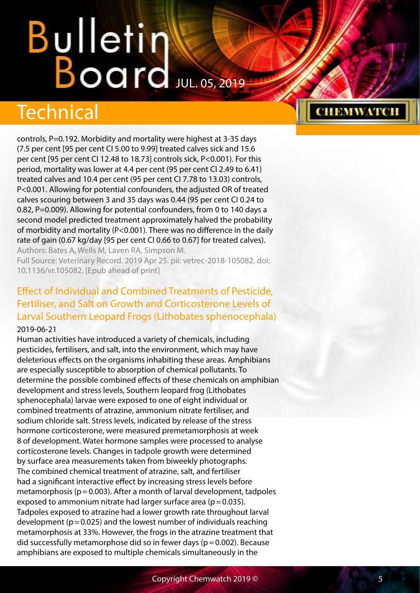## <span id="page-4-0"></span>Technical

controls, P=0.192. Morbidity and mortality were highest at 3-35 days (7.5 per cent [95 per cent CI 5.00 to 9.99] treated calves sick and 15.6 per cent [95 per cent CI 12.48 to 18.73] controls sick, P<0.001). For this period, mortality was lower at 4.4 per cent (95 per cent CI 2.49 to 6.41) treated calves and 10.4 per cent (95 per cent CI 7.78 to 13.03) controls, P<0.001. Allowing for potential confounders, the adjusted OR of treated calves scouring between 3 and 35 days was 0.44 (95 per cent CI 0.24 to 0.82, P=0.009). Allowing for potential confounders, from 0 to 140 days a second model predicted treatment approximately halved the probability of morbidity and mortality (P<0.001). There was no difference in the daily rate of gain (0.67 kg/day [95 per cent CI 0.66 to 0.67] for treated calves). Authors: Bates A, Wells M, Laven RA, Simpson M.

Full Source: Veterinary Record. 2019 Apr 25. pii: vetrec-2018-105082. doi: 10.1136/vr.105082. [Epub ahead of print]

### Effect of Individual and Combined Treatments of Pesticide, Fertiliser, and Salt on Growth and Corticosterone Levels of Larval Southern Leopard Frogs (Lithobates sphenocephala) 2019-06-21

Human activities have introduced a variety of chemicals, including pesticides, fertilisers, and salt, into the environment, which may have deleterious effects on the organisms inhabiting these areas. Amphibians are especially susceptible to absorption of chemical pollutants. To determine the possible combined effects of these chemicals on amphibian development and stress levels, Southern leopard frog (Lithobates sphenocephala) larvae were exposed to one of eight individual or combined treatments of atrazine, ammonium nitrate fertiliser, and sodium chloride salt. Stress levels, indicated by release of the stress hormone corticosterone, were measured premetamorphosis at week 8 of development. Water hormone samples were processed to analyse corticosterone levels. Changes in tadpole growth were determined by surface area measurements taken from biweekly photographs. The combined chemical treatment of atrazine, salt, and fertiliser had a significant interactive effect by increasing stress levels before metamorphosis ( $p=0.003$ ). After a month of larval development, tadpoles exposed to ammonium nitrate had larger surface area ( $p=0.035$ ). Tadpoles exposed to atrazine had a lower growth rate throughout larval development ( $p=0.025$ ) and the lowest number of individuals reaching metamorphosis at 33%. However, the frogs in the atrazine treatment that did successfully metamorphose did so in fewer days ( $p=0.002$ ). Because amphibians are exposed to multiple chemicals simultaneously in the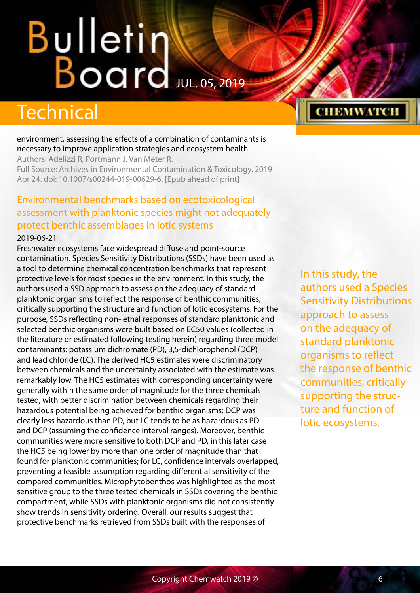## <span id="page-5-0"></span>**Technical**

environment, assessing the effects of a combination of contaminants is necessary to improve application strategies and ecosystem health.

Authors: Adelizzi R, Portmann J, Van Meter R.

Full Source: Archives in Environmental Contamination & Toxicology. 2019 Apr 24. doi: 10.1007/s00244-019-00629-6. [Epub ahead of print]

## Environmental benchmarks based on ecotoxicological assessment with planktonic species might not adequately protect benthic assemblages in lotic systems

#### 2019-06-21

Freshwater ecosystems face widespread diffuse and point-source contamination. Species Sensitivity Distributions (SSDs) have been used as a tool to determine chemical concentration benchmarks that represent protective levels for most species in the environment. In this study, the authors used a SSD approach to assess on the adequacy of standard planktonic organisms to reflect the response of benthic communities, critically supporting the structure and function of lotic ecosystems. For the purpose, SSDs reflecting non-lethal responses of standard planktonic and selected benthic organisms were built based on EC50 values (collected in the literature or estimated following testing herein) regarding three model contaminants: potassium dichromate (PD), 3,5-dichlorophenol (DCP) and lead chloride (LC). The derived HC5 estimates were discriminatory between chemicals and the uncertainty associated with the estimate was remarkably low. The HC5 estimates with corresponding uncertainty were generally within the same order of magnitude for the three chemicals tested, with better discrimination between chemicals regarding their hazardous potential being achieved for benthic organisms: DCP was clearly less hazardous than PD, but LC tends to be as hazardous as PD and DCP (assuming the confidence interval ranges). Moreover, benthic communities were more sensitive to both DCP and PD, in this later case the HC5 being lower by more than one order of magnitude than that found for planktonic communities; for LC, confidence intervals overlapped, preventing a feasible assumption regarding differential sensitivity of the compared communities. Microphytobenthos was highlighted as the most sensitive group to the three tested chemicals in SSDs covering the benthic compartment, while SSDs with planktonic organisms did not consistently show trends in sensitivity ordering. Overall, our results suggest that protective benchmarks retrieved from SSDs built with the responses of

In this study, the authors used a Species Sensitivity Distributions approach to assess on the adequacy of standard planktonic organisms to reflect the response of benthic communities, critically supporting the structure and function of lotic ecosystems.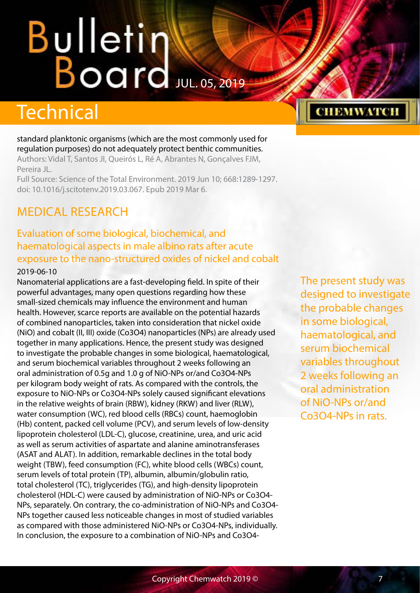## <span id="page-6-0"></span>Bulletin Board Jul. 05, 2019

## Technical

standard planktonic organisms (which are the most commonly used for regulation purposes) do not adequately protect benthic communities. Authors: Vidal T, Santos JI, Queirós L, Ré A, Abrantes N, Gonçalves FJM, Pereira JL. Full Source: Science of the Total Environment. 2019 Jun 10; 668:1289-1297.

doi: 10.1016/j.scitotenv.2019.03.067. Epub 2019 Mar 6.

## MEDICAL RESEARCH

## Evaluation of some biological, biochemical, and haematological aspects in male albino rats after acute exposure to the nano-structured oxides of nickel and cobalt

#### 2019-06-10

Nanomaterial applications are a fast-developing field. In spite of their powerful advantages, many open questions regarding how these small-sized chemicals may influence the environment and human health. However, scarce reports are available on the potential hazards of combined nanoparticles, taken into consideration that nickel oxide (NiO) and cobalt (II, III) oxide (Co3O4) nanoparticles (NPs) are already used together in many applications. Hence, the present study was designed to investigate the probable changes in some biological, haematological, and serum biochemical variables throughout 2 weeks following an oral administration of 0.5g and 1.0 g of NiO-NPs or/and Co3O4-NPs per kilogram body weight of rats. As compared with the controls, the exposure to NiO-NPs or Co3O4-NPs solely caused significant elevations in the relative weights of brain (RBW), kidney (RKW) and liver (RLW), water consumption (WC), red blood cells (RBCs) count, haemoglobin (Hb) content, packed cell volume (PCV), and serum levels of low-density lipoprotein cholesterol (LDL-C), glucose, creatinine, urea, and uric acid as well as serum activities of aspartate and alanine aminotransferases (ASAT and ALAT). In addition, remarkable declines in the total body weight (TBW), feed consumption (FC), white blood cells (WBCs) count, serum levels of total protein (TP), albumin, albumin/globulin ratio, total cholesterol (TC), triglycerides (TG), and high-density lipoprotein cholesterol (HDL-C) were caused by administration of NiO-NPs or Co3O4- NPs, separately. On contrary, the co-administration of NiO-NPs and Co3O4- NPs together caused less noticeable changes in most of studied variables as compared with those administered NiO-NPs or Co3O4-NPs, individually. In conclusion, the exposure to a combination of NiO-NPs and Co3O4The present study was designed to investigate the probable changes in some biological, haematological, and serum biochemical variables throughout 2 weeks following an oral administration of NiO-NPs or/and Co3O4-NPs in rats.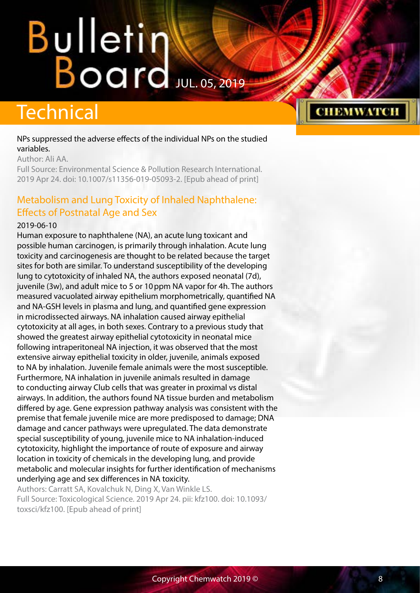## <span id="page-7-0"></span>**Technical**

#### NPs suppressed the adverse effects of the individual NPs on the studied variables.

Author: Ali AA.

Full Source: Environmental Science & Pollution Research International. 2019 Apr 24. doi: 10.1007/s11356-019-05093-2. [Epub ahead of print]

## Metabolism and Lung Toxicity of Inhaled Naphthalene: Effects of Postnatal Age and Sex

#### 2019-06-10

Human exposure to naphthalene (NA), an acute lung toxicant and possible human carcinogen, is primarily through inhalation. Acute lung toxicity and carcinogenesis are thought to be related because the target sites for both are similar. To understand susceptibility of the developing lung to cytotoxicity of inhaled NA, the authors exposed neonatal (7d), juvenile (3w), and adult mice to 5 or 10 ppm NA vapor for 4h. The authors measured vacuolated airway epithelium morphometrically, quantified NA and NA-GSH levels in plasma and lung, and quantified gene expression in microdissected airways. NA inhalation caused airway epithelial cytotoxicity at all ages, in both sexes. Contrary to a previous study that showed the greatest airway epithelial cytotoxicity in neonatal mice following intraperitoneal NA injection, it was observed that the most extensive airway epithelial toxicity in older, juvenile, animals exposed to NA by inhalation. Juvenile female animals were the most susceptible. Furthermore, NA inhalation in juvenile animals resulted in damage to conducting airway Club cells that was greater in proximal vs distal airways. In addition, the authors found NA tissue burden and metabolism differed by age. Gene expression pathway analysis was consistent with the premise that female juvenile mice are more predisposed to damage; DNA damage and cancer pathways were upregulated. The data demonstrate special susceptibility of young, juvenile mice to NA inhalation-induced cytotoxicity, highlight the importance of route of exposure and airway location in toxicity of chemicals in the developing lung, and provide metabolic and molecular insights for further identification of mechanisms underlying age and sex differences in NA toxicity.

Authors: Carratt SA, Kovalchuk N, Ding X, Van Winkle LS. Full Source: Toxicological Science. 2019 Apr 24. pii: kfz100. doi: 10.1093/ toxsci/kfz100. [Epub ahead of print]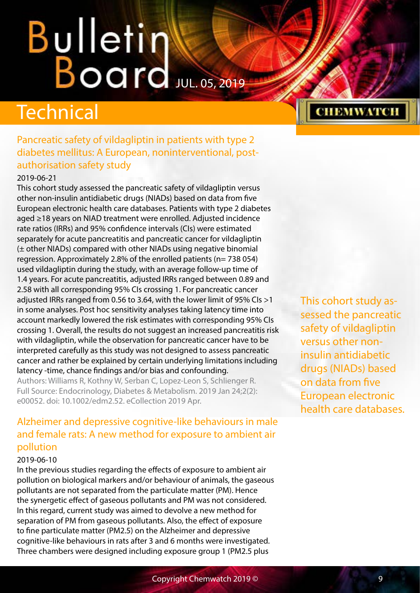## <span id="page-8-0"></span>**Technical**

### Pancreatic safety of vildagliptin in patients with type 2 diabetes mellitus: A European, noninterventional, postauthorisation safety study

### 2019-06-21

This cohort study assessed the pancreatic safety of vildagliptin versus other non-insulin antidiabetic drugs (NIADs) based on data from five European electronic health care databases. Patients with type 2 diabetes aged ≥18 years on NIAD treatment were enrolled. Adjusted incidence rate ratios (IRRs) and 95% confidence intervals (CIs) were estimated separately for acute pancreatitis and pancreatic cancer for vildagliptin (± other NIADs) compared with other NIADs using negative binomial regression. Approximately 2.8% of the enrolled patients (n= 738 054) used vildagliptin during the study, with an average follow-up time of 1.4 years. For acute pancreatitis, adjusted IRRs ranged between 0.89 and 2.58 with all corresponding 95% CIs crossing 1. For pancreatic cancer adjusted IRRs ranged from 0.56 to 3.64, with the lower limit of 95% CIs >1 in some analyses. Post hoc sensitivity analyses taking latency time into account markedly lowered the risk estimates with corresponding 95% CIs crossing 1. Overall, the results do not suggest an increased pancreatitis risk with vildagliptin, while the observation for pancreatic cancer have to be interpreted carefully as this study was not designed to assess pancreatic cancer and rather be explained by certain underlying limitations including latency -time, chance findings and/or bias and confounding.

Authors: Williams R, Kothny W, Serban C, Lopez-Leon S, Schlienger R. Full Source: Endocrinology, Diabetes & Metabolism. 2019 Jan 24;2(2): e00052. doi: 10.1002/edm2.52. eCollection 2019 Apr.

## Alzheimer and depressive cognitive-like behaviours in male and female rats: A new method for exposure to ambient air pollution

#### 2019-06-10

In the previous studies regarding the effects of exposure to ambient air pollution on biological markers and/or behaviour of animals, the gaseous pollutants are not separated from the particulate matter (PM). Hence the synergetic effect of gaseous pollutants and PM was not considered. In this regard, current study was aimed to devolve a new method for separation of PM from gaseous pollutants. Also, the effect of exposure to fine particulate matter (PM2.5) on the Alzheimer and depressive cognitive-like behaviours in rats after 3 and 6 months were investigated. Three chambers were designed including exposure group 1 (PM2.5 plus

This cohort study assessed the pancreatic safety of vildagliptin versus other noninsulin antidiabetic drugs (NIADs) based on data from five European electronic health care databases.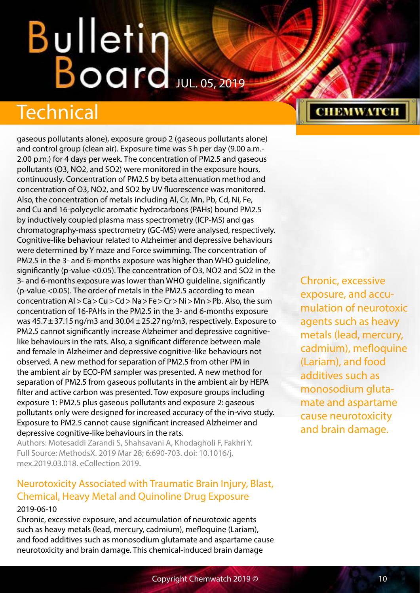## <span id="page-9-0"></span>Bulletin Board JUL. 05, 2019

## Technical

gaseous pollutants alone), exposure group 2 (gaseous pollutants alone) and control group (clean air). Exposure time was 5h per day (9.00 a.m.- 2.00 p.m.) for 4 days per week. The concentration of PM2.5 and gaseous pollutants (O3, NO2, and SO2) were monitored in the exposure hours, continuously. Concentration of PM2.5 by beta attenuation method and concentration of O3, NO2, and SO2 by UV fluorescence was monitored. Also, the concentration of metals including Al, Cr, Mn, Pb, Cd, Ni, Fe, and Cu and 16-polycyclic aromatic hydrocarbons (PAHs) bound PM2.5 by inductively coupled plasma mass spectrometry (ICP-MS) and gas chromatography-mass spectrometry (GC-MS) were analysed, respectively. Cognitive-like behaviour related to Alzheimer and depressive behaviours were determined by Y maze and Force swimming. The concentration of PM2.5 in the 3- and 6-months exposure was higher than WHO guideline, significantly (p-value <0.05). The concentration of O3, NO2 and SO2 in the 3- and 6-months exposure was lower than WHO guideline, significantly (p-value <0.05). The order of metals in the PM2.5 according to mean concentration Al>Ca>Cu>Cd>Na>Fe>Cr>Ni>Mn>Pb. Also, the sum concentration of 16-PAHs in the PM2.5 in the 3- and 6-months exposure was  $45.7 \pm 37.15$  ng/m3 and  $30.04 \pm 25.27$  ng/m3, respectively. Exposure to PM2.5 cannot significantly increase Alzheimer and depressive cognitivelike behaviours in the rats. Also, a significant difference between male and female in Alzheimer and depressive cognitive-like behaviours not observed. A new method for separation of PM2.5 from other PM in the ambient air by ECO-PM sampler was presented. A new method for separation of PM2.5 from gaseous pollutants in the ambient air by HEPA filter and active carbon was presented. Tow exposure groups including exposure 1: PM2.5 plus gaseous pollutants and exposure 2: gaseous pollutants only were designed for increased accuracy of the in-vivo study. Exposure to PM2.5 cannot cause significant increased Alzheimer and depressive cognitive-like behaviours in the rats.

Authors: Motesaddi Zarandi S, Shahsavani A, Khodagholi F, Fakhri Y. Full Source: MethodsX. 2019 Mar 28; 6:690-703. doi: 10.1016/j. mex.2019.03.018. eCollection 2019.

## Neurotoxicity Associated with Traumatic Brain Injury, Blast, Chemical, Heavy Metal and Quinoline Drug Exposure

#### 2019-06-10

Chronic, excessive exposure, and accumulation of neurotoxic agents such as heavy metals (lead, mercury, cadmium), mefloquine (Lariam), and food additives such as monosodium glutamate and aspartame cause neurotoxicity and brain damage. This chemical-induced brain damage

## Chronic, excessive exposure, and accumulation of neurotoxic agents such as heavy metals (lead, mercury, cadmium), mefloquine (Lariam), and food additives such as monosodium glutamate and aspartame cause neurotoxicity and brain damage.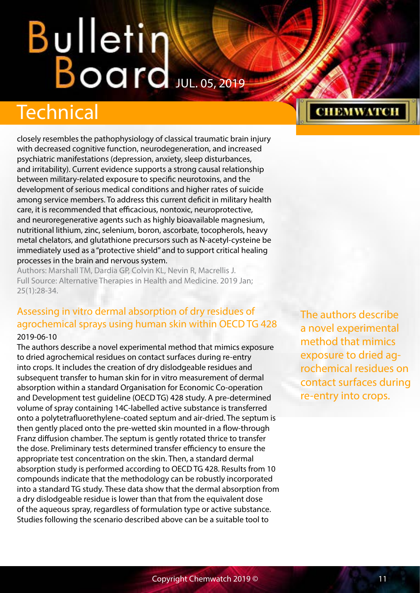## <span id="page-10-0"></span>Technical

closely resembles the pathophysiology of classical traumatic brain injury with decreased cognitive function, neurodegeneration, and increased psychiatric manifestations (depression, anxiety, sleep disturbances, and irritability). Current evidence supports a strong causal relationship between military-related exposure to specific neurotoxins, and the development of serious medical conditions and higher rates of suicide among service members. To address this current deficit in military health care, it is recommended that efficacious, nontoxic, neuroprotective, and neuroregenerative agents such as highly bioavailable magnesium, nutritional lithium, zinc, selenium, boron, ascorbate, tocopherols, heavy metal chelators, and glutathione precursors such as N-acetyl-cysteine be immediately used as a "protective shield" and to support critical healing processes in the brain and nervous system.

Authors: Marshall TM, Dardia GP, Colvin KL, Nevin R, Macrellis J. Full Source: Alternative Therapies in Health and Medicine. 2019 Jan; 25(1):28-34.

### Assessing in vitro dermal absorption of dry residues of agrochemical sprays using human skin within OECD TG 428 2019-06-10

The authors describe a novel experimental method that mimics exposure to dried agrochemical residues on contact surfaces during re-entry into crops. It includes the creation of dry dislodgeable residues and subsequent transfer to human skin for in vitro measurement of dermal absorption within a standard Organisation for Economic Co-operation and Development test guideline (OECD TG) 428 study. A pre-determined volume of spray containing 14C-labelled active substance is transferred onto a polytetrafluorethylene-coated septum and air-dried. The septum is then gently placed onto the pre-wetted skin mounted in a flow-through Franz diffusion chamber. The septum is gently rotated thrice to transfer the dose. Preliminary tests determined transfer efficiency to ensure the appropriate test concentration on the skin. Then, a standard dermal absorption study is performed according to OECD TG 428. Results from 10 compounds indicate that the methodology can be robustly incorporated into a standard TG study. These data show that the dermal absorption from a dry dislodgeable residue is lower than that from the equivalent dose of the aqueous spray, regardless of formulation type or active substance. Studies following the scenario described above can be a suitable tool to

The authors describe a novel experimental method that mimics exposure to dried agrochemical residues on contact surfaces during re-entry into crops.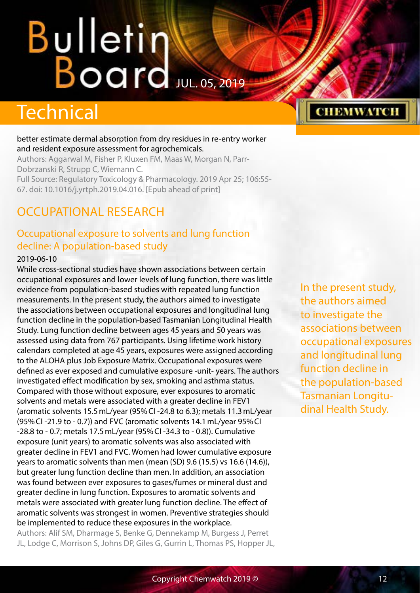## <span id="page-11-0"></span>Bulletin Board JUL. 05, 2019

## **Technical**

#### better estimate dermal absorption from dry residues in re-entry worker and resident exposure assessment for agrochemicals.

Authors: Aggarwal M, Fisher P, Kluxen FM, Maas W, Morgan N, Parr-Dobrzanski R, Strupp C, Wiemann C. Full Source: Regulatory Toxicology & Pharmacology. 2019 Apr 25; 106:55- 67. doi: 10.1016/j.yrtph.2019.04.016. [Epub ahead of print]

## OCCUPATIONAL RESEARCH

### Occupational exposure to solvents and lung function decline: A population-based study

#### 2019-06-10

While cross-sectional studies have shown associations between certain occupational exposures and lower levels of lung function, there was little evidence from population-based studies with repeated lung function measurements. In the present study, the authors aimed to investigate the associations between occupational exposures and longitudinal lung function decline in the population-based Tasmanian Longitudinal Health Study. Lung function decline between ages 45 years and 50 years was assessed using data from 767 participants. Using lifetime work history calendars completed at age 45 years, exposures were assigned according to the ALOHA plus Job Exposure Matrix. Occupational exposures were defined as ever exposed and cumulative exposure -unit- years. The authors investigated effect modification by sex, smoking and asthma status. Compared with those without exposure, ever exposures to aromatic solvents and metals were associated with a greater decline in FEV1 (aromatic solvents 15.5mL/year (95%CI -24.8 to 6.3); metals 11.3mL/year (95%CI -21.9 to - 0.7)) and FVC (aromatic solvents 14.1mL/year 95%CI -28.8 to - 0.7; metals 17.5mL/year (95%CI -34.3 to - 0.8)). Cumulative exposure (unit years) to aromatic solvents was also associated with greater decline in FEV1 and FVC. Women had lower cumulative exposure years to aromatic solvents than men (mean (SD) 9.6 (15.5) vs 16.6 (14.6)), but greater lung function decline than men. In addition, an association was found between ever exposures to gases/fumes or mineral dust and greater decline in lung function. Exposures to aromatic solvents and metals were associated with greater lung function decline. The effect of aromatic solvents was strongest in women. Preventive strategies should be implemented to reduce these exposures in the workplace.

Authors: Alif SM, Dharmage S, Benke G, Dennekamp M, Burgess J, Perret JL, Lodge C, Morrison S, Johns DP, Giles G, Gurrin L, Thomas PS, Hopper JL,

In the present study, the authors aimed to investigate the associations between occupational exposures and longitudinal lung function decline in the population-based Tasmanian Longitudinal Health Study.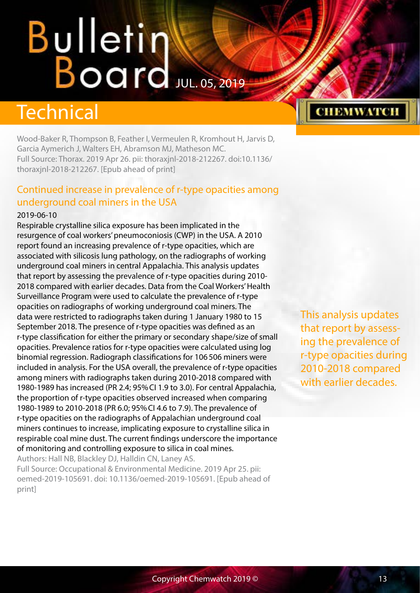## <span id="page-12-0"></span>Technical

Wood-Baker R, Thompson B, Feather I, Vermeulen R, Kromhout H, Jarvis D, Garcia Aymerich J, Walters EH, Abramson MJ, Matheson MC. Full Source: Thorax. 2019 Apr 26. pii: thoraxjnl-2018-212267. doi:10.1136/ thoraxjnl-2018-212267. [Epub ahead of print]

### Continued increase in prevalence of r-type opacities among underground coal miners in the USA

#### 2019-06-10

Respirable crystalline silica exposure has been implicated in the resurgence of coal workers' pneumoconiosis (CWP) in the USA. A 2010 report found an increasing prevalence of r-type opacities, which are associated with silicosis lung pathology, on the radiographs of working underground coal miners in central Appalachia. This analysis updates that report by assessing the prevalence of r-type opacities during 2010- 2018 compared with earlier decades. Data from the Coal Workers' Health Surveillance Program were used to calculate the prevalence of r-type opacities on radiographs of working underground coal miners. The data were restricted to radiographs taken during 1 January 1980 to 15 September 2018. The presence of r-type opacities was defined as an r-type classification for either the primary or secondary shape/size of small opacities. Prevalence ratios for r-type opacities were calculated using log binomial regression. Radiograph classifications for 106506 miners were included in analysis. For the USA overall, the prevalence of r-type opacities among miners with radiographs taken during 2010-2018 compared with 1980-1989 has increased (PR 2.4; 95%CI 1.9 to 3.0). For central Appalachia, the proportion of r-type opacities observed increased when comparing 1980-1989 to 2010-2018 (PR 6.0; 95%CI 4.6 to 7.9). The prevalence of r-type opacities on the radiographs of Appalachian underground coal miners continues to increase, implicating exposure to crystalline silica in respirable coal mine dust. The current findings underscore the importance of monitoring and controlling exposure to silica in coal mines. Authors: Hall NB, Blackley DJ, Halldin CN, Laney AS.

Full Source: Occupational & Environmental Medicine. 2019 Apr 25. pii: oemed-2019-105691. doi: 10.1136/oemed-2019-105691. [Epub ahead of print]

This analysis updates that report by assessing the prevalence of r-type opacities during 2010-2018 compared with earlier decades.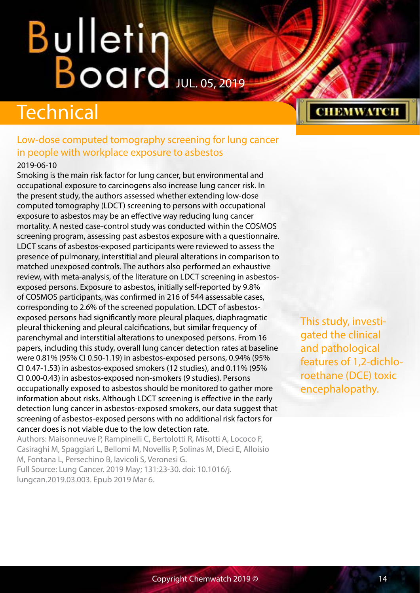## <span id="page-13-0"></span>Technical

### Low-dose computed tomography screening for lung cancer in people with workplace exposure to asbestos

#### 2019-06-10

Smoking is the main risk factor for lung cancer, but environmental and occupational exposure to carcinogens also increase lung cancer risk. In the present study, the authors assessed whether extending low-dose computed tomography (LDCT) screening to persons with occupational exposure to asbestos may be an effective way reducing lung cancer mortality. A nested case-control study was conducted within the COSMOS screening program, assessing past asbestos exposure with a questionnaire. LDCT scans of asbestos-exposed participants were reviewed to assess the presence of pulmonary, interstitial and pleural alterations in comparison to matched unexposed controls. The authors also performed an exhaustive review, with meta-analysis, of the literature on LDCT screening in asbestosexposed persons. Exposure to asbestos, initially self-reported by 9.8% of COSMOS participants, was confirmed in 216 of 544 assessable cases, corresponding to 2.6% of the screened population. LDCT of asbestosexposed persons had significantly more pleural plaques, diaphragmatic pleural thickening and pleural calcifications, but similar frequency of parenchymal and interstitial alterations to unexposed persons. From 16 papers, including this study, overall lung cancer detection rates at baseline were 0.81% (95% CI 0.50-1.19) in asbestos-exposed persons, 0.94% (95% CI 0.47-1.53) in asbestos-exposed smokers (12 studies), and 0.11% (95% CI 0.00-0.43) in asbestos-exposed non-smokers (9 studies). Persons occupationally exposed to asbestos should be monitored to gather more information about risks. Although LDCT screening is effective in the early detection lung cancer in asbestos-exposed smokers, our data suggest that screening of asbestos-exposed persons with no additional risk factors for cancer does is not viable due to the low detection rate.

Authors: Maisonneuve P, Rampinelli C, Bertolotti R, Misotti A, Lococo F, Casiraghi M, Spaggiari L, Bellomi M, Novellis P, Solinas M, Dieci E, Alloisio M, Fontana L, Persechino B, Iavicoli S, Veronesi G. Full Source: Lung Cancer. 2019 May; 131:23-30. doi: 10.1016/j. lungcan.2019.03.003. Epub 2019 Mar 6.

This study, investigated the clinical and pathological features of 1,2-dichloroethane (DCE) toxic encephalopathy.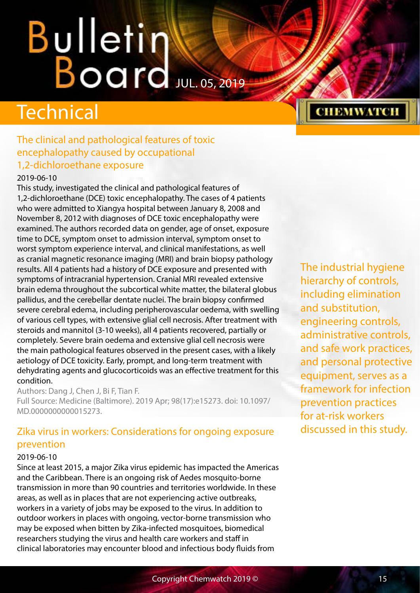## <span id="page-14-0"></span>**Technical**

## The clinical and pathological features of toxic encephalopathy caused by occupational 1,2-dichloroethane exposure

#### 2019-06-10

This study, investigated the clinical and pathological features of 1,2-dichloroethane (DCE) toxic encephalopathy. The cases of 4 patients who were admitted to Xiangya hospital between January 8, 2008 and November 8, 2012 with diagnoses of DCE toxic encephalopathy were examined. The authors recorded data on gender, age of onset, exposure time to DCE, symptom onset to admission interval, symptom onset to worst symptom experience interval, and clinical manifestations, as well as cranial magnetic resonance imaging (MRI) and brain biopsy pathology results. All 4 patients had a history of DCE exposure and presented with symptoms of intracranial hypertension. Cranial MRI revealed extensive brain edema throughout the subcortical white matter, the bilateral globus pallidus, and the cerebellar dentate nuclei. The brain biopsy confirmed severe cerebral edema, including peripherovascular oedema, with swelling of various cell types, with extensive glial cell necrosis. After treatment with steroids and mannitol (3-10 weeks), all 4 patients recovered, partially or completely. Severe brain oedema and extensive glial cell necrosis were the main pathological features observed in the present cases, with a likely aetiology of DCE toxicity. Early, prompt, and long-term treatment with dehydrating agents and glucocorticoids was an effective treatment for this condition.

Authors: Dang J, Chen J, Bi F, Tian F. Full Source: Medicine (Baltimore). 2019 Apr; 98(17):e15273. doi: 10.1097/ MD.0000000000015273.

## Zika virus in workers: Considerations for ongoing exposure prevention

#### 2019-06-10

Since at least 2015, a major Zika virus epidemic has impacted the Americas and the Caribbean. There is an ongoing risk of Aedes mosquito-borne transmission in more than 90 countries and territories worldwide. In these areas, as well as in places that are not experiencing active outbreaks, workers in a variety of jobs may be exposed to the virus. In addition to outdoor workers in places with ongoing, vector-borne transmission who may be exposed when bitten by Zika-infected mosquitoes, biomedical researchers studying the virus and health care workers and staff in clinical laboratories may encounter blood and infectious body fluids from

The industrial hygiene hierarchy of controls, including elimination and substitution, engineering controls, administrative controls, and safe work practices, and personal protective equipment, serves as a framework for infection prevention practices for at-risk workers discussed in this study.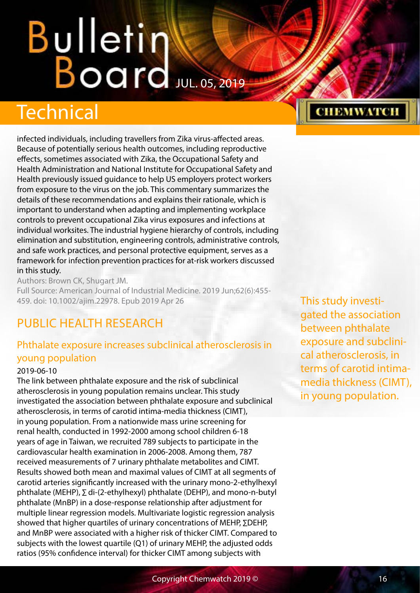## <span id="page-15-0"></span>**Technical**

infected individuals, including travellers from Zika virus-affected areas. Because of potentially serious health outcomes, including reproductive effects, sometimes associated with Zika, the Occupational Safety and Health Administration and National Institute for Occupational Safety and Health previously issued guidance to help US employers protect workers from exposure to the virus on the job. This commentary summarizes the details of these recommendations and explains their rationale, which is important to understand when adapting and implementing workplace controls to prevent occupational Zika virus exposures and infections at individual worksites. The industrial hygiene hierarchy of controls, including elimination and substitution, engineering controls, administrative controls, and safe work practices, and personal protective equipment, serves as a framework for infection prevention practices for at-risk workers discussed in this study.

Authors: Brown CK, Shugart JM. Full Source: American Journal of Industrial Medicine. 2019 Jun;62(6):455- 459. doi: 10.1002/ajim.22978. Epub 2019 Apr 26

## PUBLIC HEALTH RESEARCH

### Phthalate exposure increases subclinical atherosclerosis in young population

#### 2019-06-10

The link between phthalate exposure and the risk of subclinical atherosclerosis in young population remains unclear. This study investigated the association between phthalate exposure and subclinical atherosclerosis, in terms of carotid intima-media thickness (CIMT), in young population. From a nationwide mass urine screening for renal health, conducted in 1992-2000 among school children 6-18 years of age in Taiwan, we recruited 789 subjects to participate in the cardiovascular health examination in 2006-2008. Among them, 787 received measurements of 7 urinary phthalate metabolites and CIMT. Results showed both mean and maximal values of CIMT at all segments of carotid arteries significantly increased with the urinary mono-2-ethylhexyl phthalate (MEHP), ∑ di-(2-ethylhexyl) phthalate (DEHP), and mono-n-butyl phthalate (MnBP) in a dose-response relationship after adjustment for multiple linear regression models. Multivariate logistic regression analysis showed that higher quartiles of urinary concentrations of MEHP, ∑DEHP, and MnBP were associated with a higher risk of thicker CIMT. Compared to subjects with the lowest quartile (Q1) of urinary MEHP, the adjusted odds ratios (95% confidence interval) for thicker CIMT among subjects with

This study investigated the association between phthalate exposure and subclinical atherosclerosis, in terms of carotid intimamedia thickness (CIMT), in young population.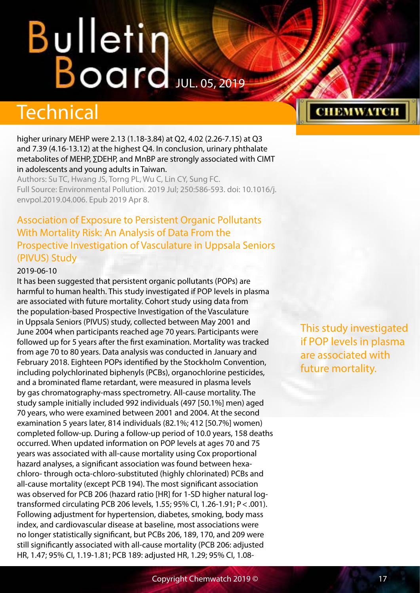## <span id="page-16-0"></span>Technical

higher urinary MEHP were 2.13 (1.18-3.84) at Q2, 4.02 (2.26-7.15) at Q3 and 7.39 (4.16-13.12) at the highest Q4. In conclusion, urinary phthalate metabolites of MEHP, ∑DEHP, and MnBP are strongly associated with CIMT in adolescents and young adults in Taiwan.

Authors: Su TC, Hwang JS, Torng PL, Wu C, Lin CY, Sung FC. Full Source: Environmental Pollution. 2019 Jul; 250:586-593. doi: 10.1016/j. envpol.2019.04.006. Epub 2019 Apr 8.

## Association of Exposure to Persistent Organic Pollutants With Mortality Risk: An Analysis of Data From the Prospective Investigation of Vasculature in Uppsala Seniors (PIVUS) Study

#### 2019-06-10

It has been suggested that persistent organic pollutants (POPs) are harmful to human health. This study investigated if POP levels in plasma are associated with future mortality. Cohort study using data from the population-based Prospective Investigation of the Vasculature in Uppsala Seniors (PIVUS) study, collected between May 2001 and June 2004 when participants reached age 70 years. Participants were followed up for 5 years after the first examination. Mortality was tracked from age 70 to 80 years. Data analysis was conducted in January and February 2018. Eighteen POPs identified by the Stockholm Convention, including polychlorinated biphenyls (PCBs), organochlorine pesticides, and a brominated flame retardant, were measured in plasma levels by gas chromatography-mass spectrometry. All-cause mortality. The study sample initially included 992 individuals (497 [50.1%] men) aged 70 years, who were examined between 2001 and 2004. At the second examination 5 years later, 814 individuals (82.1%; 412 [50.7%] women) completed follow-up. During a follow-up period of 10.0 years, 158 deaths occurred. When updated information on POP levels at ages 70 and 75 years was associated with all-cause mortality using Cox proportional hazard analyses, a significant association was found between hexachloro- through octa-chloro-substituted (highly chlorinated) PCBs and all-cause mortality (except PCB 194). The most significant association was observed for PCB 206 (hazard ratio [HR] for 1-SD higher natural logtransformed circulating PCB 206 levels, 1.55; 95% CI, 1.26-1.91; P<.001). Following adjustment for hypertension, diabetes, smoking, body mass index, and cardiovascular disease at baseline, most associations were no longer statistically significant, but PCBs 206, 189, 170, and 209 were still significantly associated with all-cause mortality (PCB 206: adjusted HR, 1.47; 95% CI, 1.19-1.81; PCB 189: adjusted HR, 1.29; 95% CI, 1.08-

This study investigated if POP levels in plasma are associated with future mortality.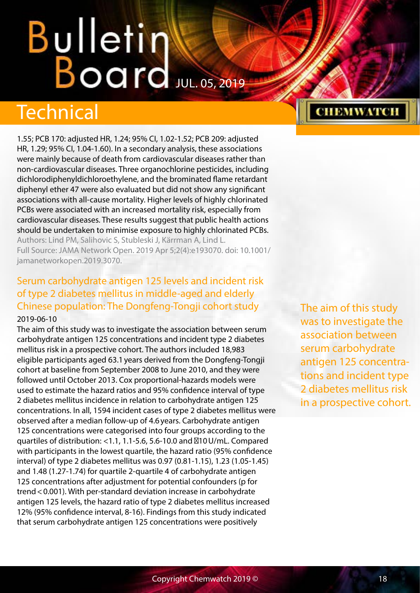# <span id="page-17-0"></span>Bulletin Water

## Technical

1.55; PCB 170: adjusted HR, 1.24; 95% CI, 1.02-1.52; PCB 209: adjusted HR, 1.29; 95% CI, 1.04-1.60). In a secondary analysis, these associations were mainly because of death from cardiovascular diseases rather than non-cardiovascular diseases. Three organochlorine pesticides, including dichlorodiphenyldichloroethylene, and the brominated flame retardant diphenyl ether 47 were also evaluated but did not show any significant associations with all-cause mortality. Higher levels of highly chlorinated PCBs were associated with an increased mortality risk, especially from cardiovascular diseases. These results suggest that public health actions should be undertaken to minimise exposure to highly chlorinated PCBs. Authors: Lind PM, Salihovic S, Stubleski J, Kärrman A, Lind L.

Full Source: JAMA Network Open. 2019 Apr 5;2(4):e193070. doi: 10.1001/ jamanetworkopen.2019.3070.

### Serum carbohydrate antigen 125 levels and incident risk of type 2 diabetes mellitus in middle-aged and elderly Chinese population: The Dongfeng-Tongji cohort study 2019-06-10

The aim of this study was to investigate the association between serum carbohydrate antigen 125 concentrations and incident type 2 diabetes mellitus risk in a prospective cohort. The authors included 18,983 eligible participants aged 63.1years derived from the Dongfeng-Tongji cohort at baseline from September 2008 to June 2010, and they were followed until October 2013. Cox proportional-hazards models were used to estimate the hazard ratios and 95% confidence interval of type 2 diabetes mellitus incidence in relation to carbohydrate antigen 125 concentrations. In all, 1594 incident cases of type 2 diabetes mellitus were observed after a median follow-up of 4.6years. Carbohydrate antigen 125 concentrations were categorised into four groups according to the quartiles of distribution: <1.1, 1.1-5.6, 5.6-10.0 and  $10$ U/mL. Compared with participants in the lowest quartile, the hazard ratio (95% confidence interval) of type 2 diabetes mellitus was 0.97 (0.81-1.15), 1.23 (1.05-1.45) and 1.48 (1.27-1.74) for quartile 2-quartile 4 of carbohydrate antigen 125 concentrations after adjustment for potential confounders (p for trend<0.001). With per-standard deviation increase in carbohydrate antigen 125 levels, the hazard ratio of type 2 diabetes mellitus increased 12% (95% confidence interval, 8-16). Findings from this study indicated that serum carbohydrate antigen 125 concentrations were positively

The aim of this study was to investigate the association between serum carbohydrate antigen 125 concentrations and incident type 2 diabetes mellitus risk in a prospective cohort.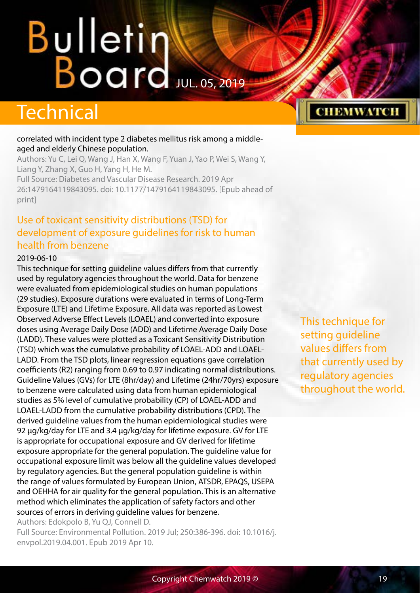## <span id="page-18-0"></span>**Technical**

#### correlated with incident type 2 diabetes mellitus risk among a middleaged and elderly Chinese population.

Authors: Yu C, Lei Q, Wang J, Han X, Wang F, Yuan J, Yao P, Wei S, Wang Y, Liang Y, Zhang X, Guo H, Yang H, He M.

Full Source: Diabetes and Vascular Disease Research. 2019 Apr 26:1479164119843095. doi: 10.1177/1479164119843095. [Epub ahead of print]

## Use of toxicant sensitivity distributions (TSD) for development of exposure guidelines for risk to human health from benzene

#### 2019-06-10

This technique for setting guideline values differs from that currently used by regulatory agencies throughout the world. Data for benzene were evaluated from epidemiological studies on human populations (29 studies). Exposure durations were evaluated in terms of Long-Term Exposure (LTE) and Lifetime Exposure. All data was reported as Lowest Observed Adverse Effect Levels (LOAEL) and converted into exposure doses using Average Daily Dose (ADD) and Lifetime Average Daily Dose (LADD). These values were plotted as a Toxicant Sensitivity Distribution (TSD) which was the cumulative probability of LOAEL-ADD and LOAEL-LADD. From the TSD plots, linear regression equations gave correlation coefficients (R2) ranging from 0.69 to 0.97 indicating normal distributions. Guideline Values (GVs) for LTE (8hr/day) and Lifetime (24hr/70yrs) exposure to benzene were calculated using data from human epidemiological studies as 5% level of cumulative probability (CP) of LOAEL-ADD and LOAEL-LADD from the cumulative probability distributions (CPD). The derived guideline values from the human epidemiological studies were 92 μg/kg/day for LTE and 3.4 μg/kg/day for lifetime exposure. GV for LTE is appropriate for occupational exposure and GV derived for lifetime exposure appropriate for the general population. The guideline value for occupational exposure limit was below all the guideline values developed by regulatory agencies. But the general population guideline is within the range of values formulated by European Union, ATSDR, EPAQS, USEPA and OEHHA for air quality for the general population. This is an alternative method which eliminates the application of safety factors and other sources of errors in deriving guideline values for benzene.

Authors: Edokpolo B, Yu QJ, Connell D.

Full Source: Environmental Pollution. 2019 Jul; 250:386-396. doi: 10.1016/j. envpol.2019.04.001. Epub 2019 Apr 10.

This technique for setting guideline values differs from that currently used by regulatory agencies throughout the world.